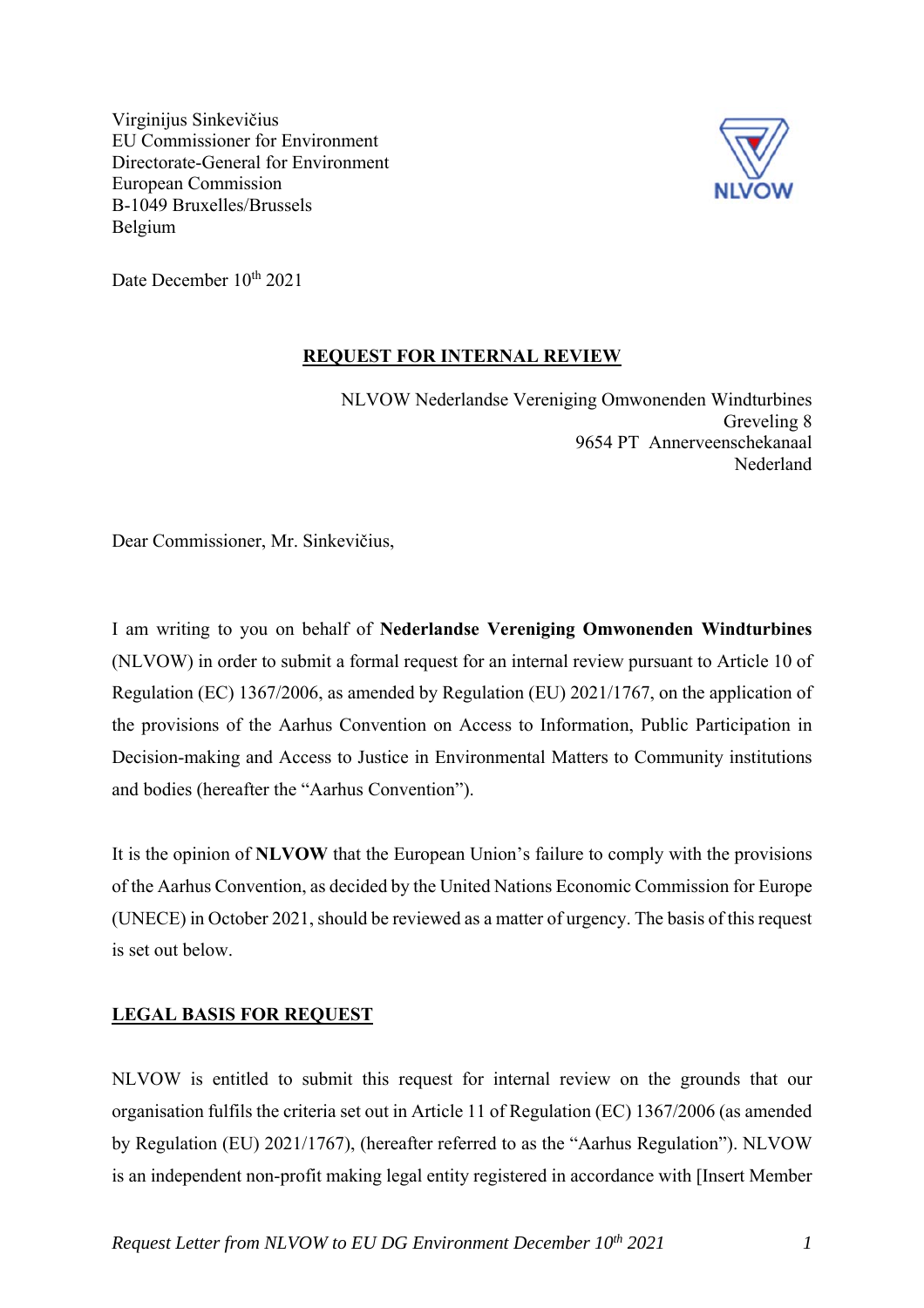Virginijus Sinkevičius EU Commissioner for Environment Directorate-General for Environment European Commission B-1049 Bruxelles/Brussels Belgium



Date December 10<sup>th</sup> 2021

#### **REQUEST FOR INTERNAL REVIEW**

NLVOW Nederlandse Vereniging Omwonenden Windturbines Greveling 8 9654 PT Annerveenschekanaal Nederland

Dear Commissioner, Mr. Sinkevičius,

I am writing to you on behalf of **Nederlandse Vereniging Omwonenden Windturbines**  (NLVOW) in order to submit a formal request for an internal review pursuant to Article 10 of Regulation (EC) 1367/2006, as amended by Regulation (EU) 2021/1767, on the application of the provisions of the Aarhus Convention on Access to Information, Public Participation in Decision-making and Access to Justice in Environmental Matters to Community institutions and bodies (hereafter the "Aarhus Convention").

It is the opinion of **NLVOW** that the European Union's failure to comply with the provisions of the Aarhus Convention, as decided by the United Nations Economic Commission for Europe (UNECE) in October 2021, should be reviewed as a matter of urgency. The basis of this request is set out below.

# **LEGAL BASIS FOR REQUEST**

NLVOW is entitled to submit this request for internal review on the grounds that our organisation fulfils the criteria set out in Article 11 of Regulation (EC) 1367/2006 (as amended by Regulation (EU) 2021/1767), (hereafter referred to as the "Aarhus Regulation"). NLVOW is an independent non-profit making legal entity registered in accordance with [Insert Member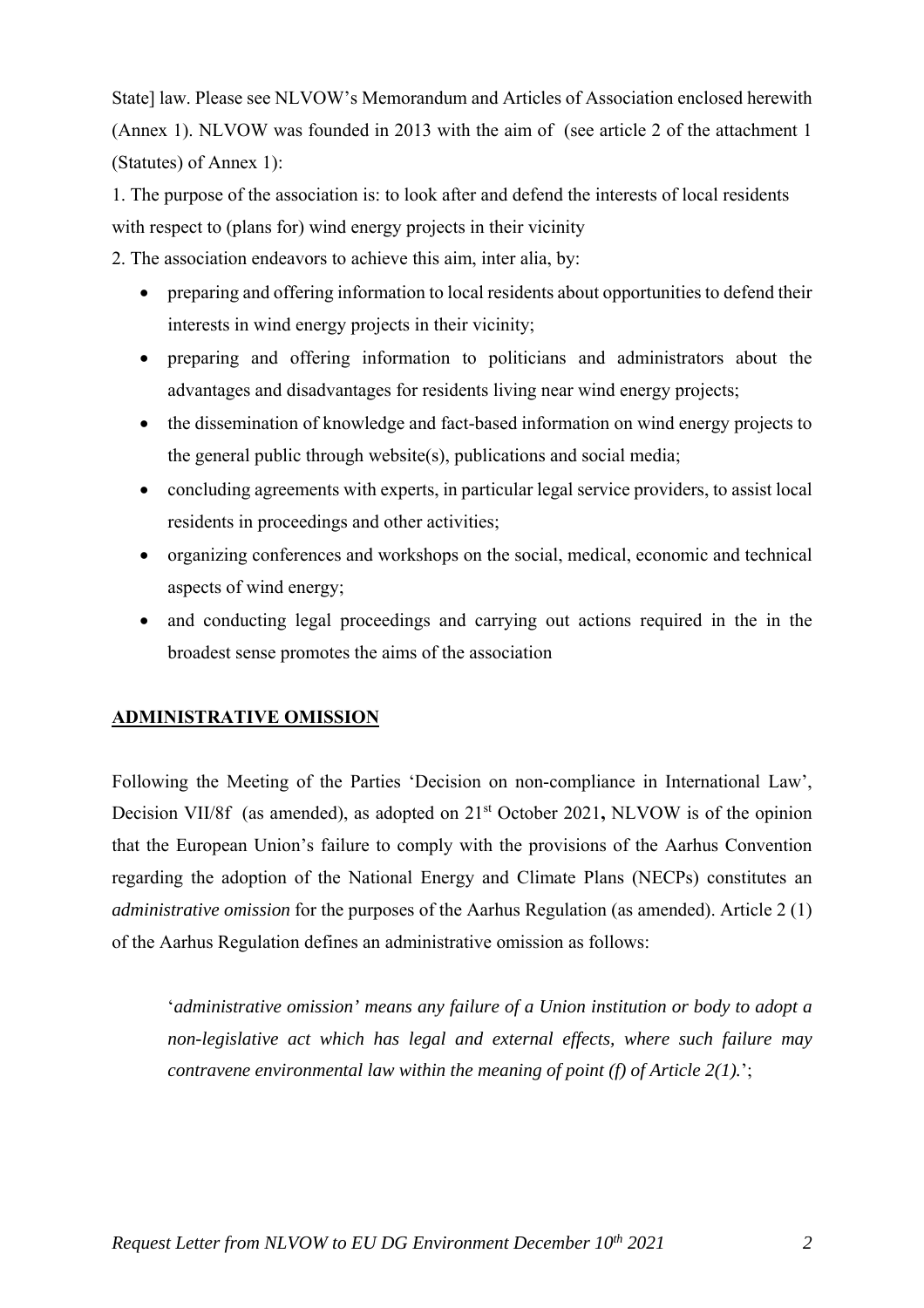State] law. Please see NLVOW's Memorandum and Articles of Association enclosed herewith (Annex 1). NLVOW was founded in 2013 with the aim of (see article 2 of the attachment 1 (Statutes) of Annex 1):

1. The purpose of the association is: to look after and defend the interests of local residents with respect to (plans for) wind energy projects in their vicinity

2. The association endeavors to achieve this aim, inter alia, by:

- preparing and offering information to local residents about opportunities to defend their interests in wind energy projects in their vicinity;
- preparing and offering information to politicians and administrators about the advantages and disadvantages for residents living near wind energy projects;
- the dissemination of knowledge and fact-based information on wind energy projects to the general public through website(s), publications and social media;
- concluding agreements with experts, in particular legal service providers, to assist local residents in proceedings and other activities;
- organizing conferences and workshops on the social, medical, economic and technical aspects of wind energy;
- and conducting legal proceedings and carrying out actions required in the in the broadest sense promotes the aims of the association

# **ADMINISTRATIVE OMISSION**

Following the Meeting of the Parties 'Decision on non-compliance in International Law', Decision VII/8f (as amended), as adopted on 21<sup>st</sup> October 2021, NLVOW is of the opinion that the European Union's failure to comply with the provisions of the Aarhus Convention regarding the adoption of the National Energy and Climate Plans (NECPs) constitutes an *administrative omission* for the purposes of the Aarhus Regulation (as amended). Article 2 (1) of the Aarhus Regulation defines an administrative omission as follows:

'*administrative omission' means any failure of a Union institution or body to adopt a non-legislative act which has legal and external effects, where such failure may contravene environmental law within the meaning of point (f) of Article 2(1).*';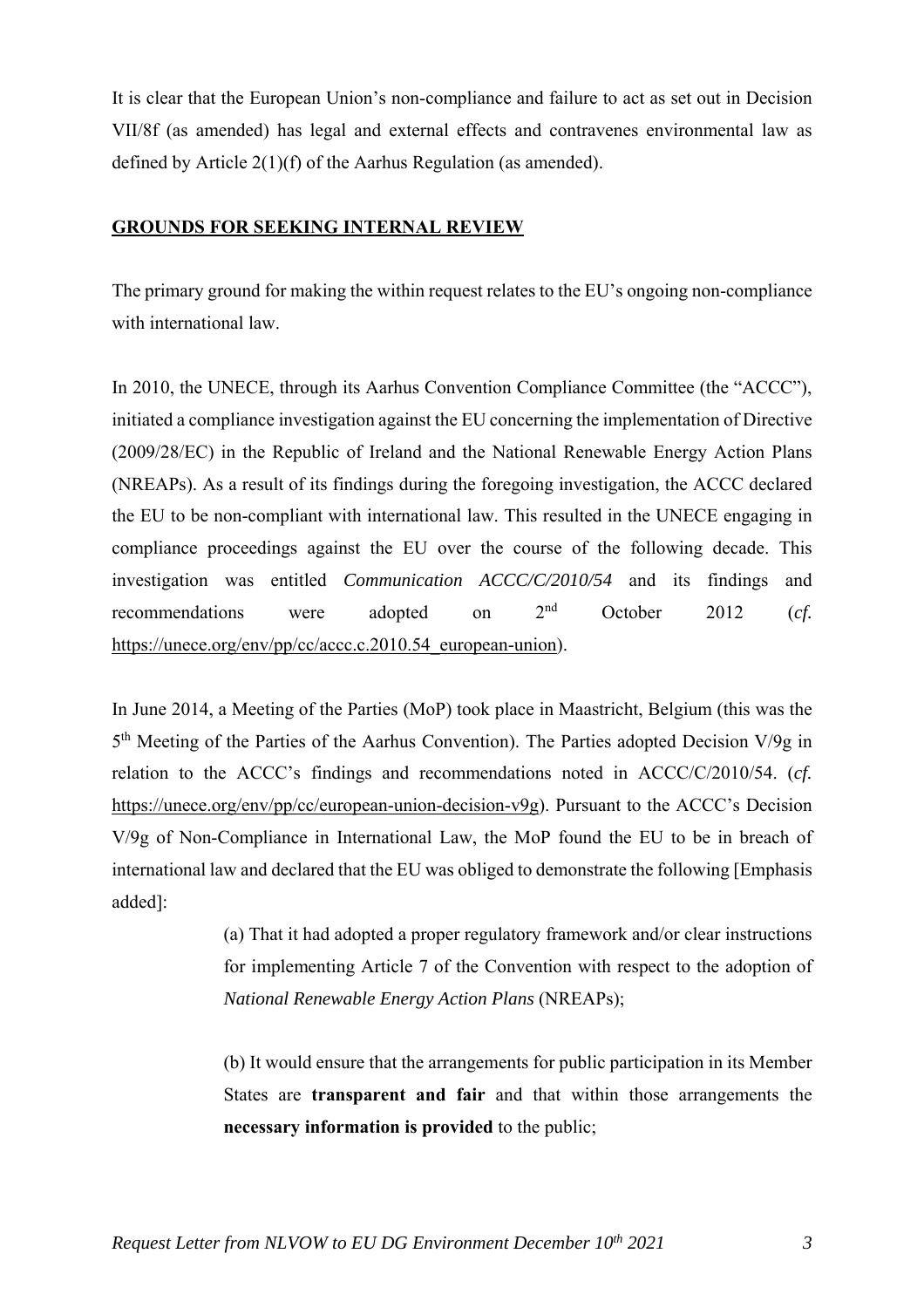It is clear that the European Union's non-compliance and failure to act as set out in Decision VII/8f (as amended) has legal and external effects and contravenes environmental law as defined by Article 2(1)(f) of the Aarhus Regulation (as amended).

#### **GROUNDS FOR SEEKING INTERNAL REVIEW**

The primary ground for making the within request relates to the EU's ongoing non-compliance with international law.

In 2010, the UNECE, through its Aarhus Convention Compliance Committee (the "ACCC"), initiated a compliance investigation against the EU concerning the implementation of Directive (2009/28/EC) in the Republic of Ireland and the National Renewable Energy Action Plans (NREAPs). As a result of its findings during the foregoing investigation, the ACCC declared the EU to be non-compliant with international law. This resulted in the UNECE engaging in compliance proceedings against the EU over the course of the following decade. This investigation was entitled *Communication ACCC/C/2010/54* and its findings and recommendations were adopted on 2nd October 2012 (*cf.* https://unece.org/env/pp/cc/accc.c.2010.54 european-union).

In June 2014, a Meeting of the Parties (MoP) took place in Maastricht, Belgium (this was the 5<sup>th</sup> Meeting of the Parties of the Aarhus Convention). The Parties adopted Decision V/9g in relation to the ACCC's findings and recommendations noted in ACCC/C/2010/54. (*cf.* https://unece.org/env/pp/cc/european-union-decision-v9g). Pursuant to the ACCC's Decision V/9g of Non-Compliance in International Law, the MoP found the EU to be in breach of international law and declared that the EU was obliged to demonstrate the following [Emphasis added]:

> (a) That it had adopted a proper regulatory framework and/or clear instructions for implementing Article 7 of the Convention with respect to the adoption of *National Renewable Energy Action Plans* (NREAPs);

> (b) It would ensure that the arrangements for public participation in its Member States are **transparent and fair** and that within those arrangements the **necessary information is provided** to the public;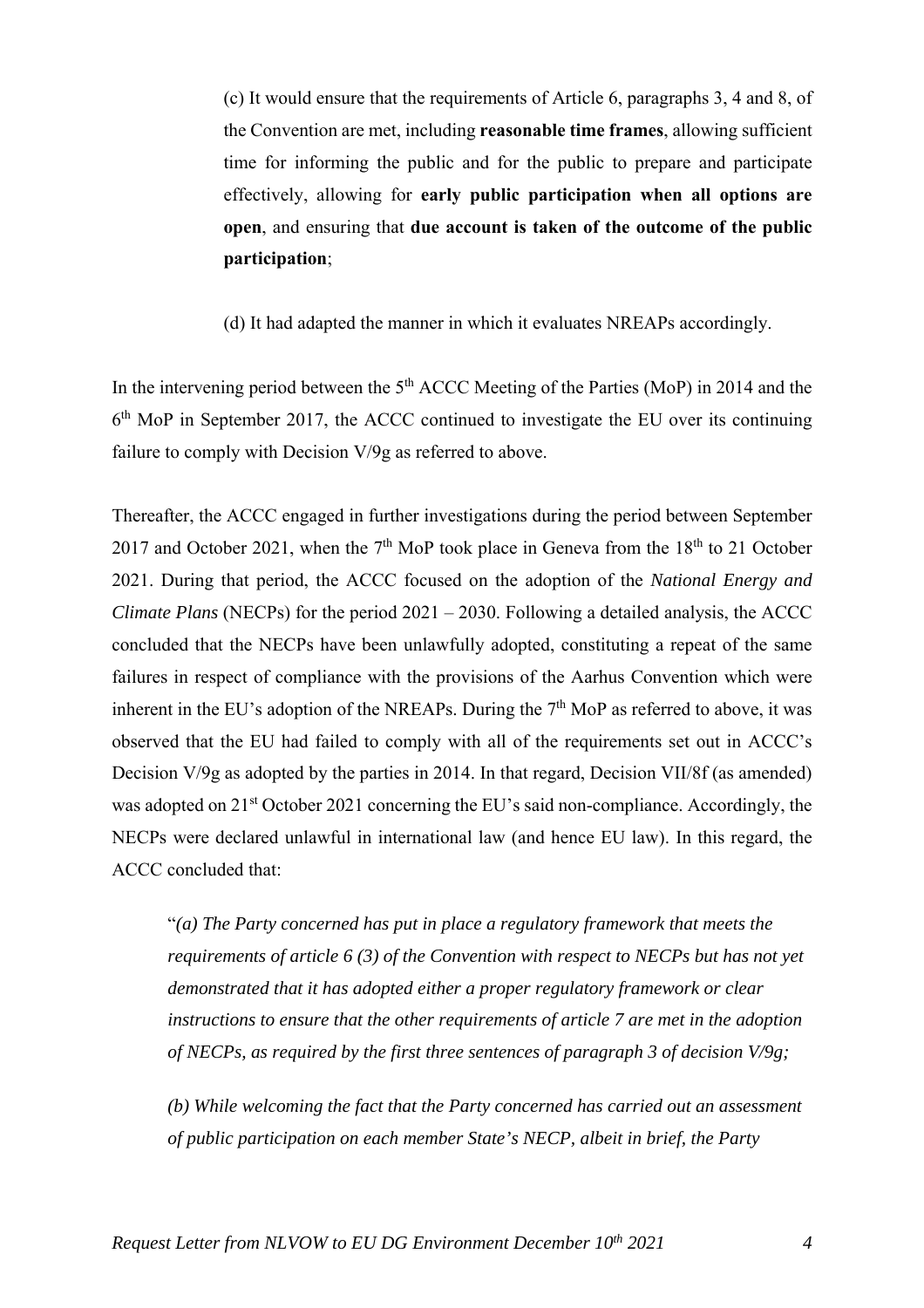(c) It would ensure that the requirements of Article 6, paragraphs 3, 4 and 8, of the Convention are met, including **reasonable time frames**, allowing sufficient time for informing the public and for the public to prepare and participate effectively, allowing for **early public participation when all options are open**, and ensuring that **due account is taken of the outcome of the public participation**;

(d) It had adapted the manner in which it evaluates NREAPs accordingly.

In the intervening period between the  $5<sup>th</sup>$  ACCC Meeting of the Parties (MoP) in 2014 and the  $6<sup>th</sup>$  MoP in September 2017, the ACCC continued to investigate the EU over its continuing failure to comply with Decision V/9g as referred to above.

Thereafter, the ACCC engaged in further investigations during the period between September 2017 and October 2021, when the  $7<sup>th</sup>$  MoP took place in Geneva from the  $18<sup>th</sup>$  to 21 October 2021. During that period, the ACCC focused on the adoption of the *National Energy and Climate Plans* (NECPs) for the period 2021 – 2030. Following a detailed analysis, the ACCC concluded that the NECPs have been unlawfully adopted, constituting a repeat of the same failures in respect of compliance with the provisions of the Aarhus Convention which were inherent in the EU's adoption of the NREAPs. During the  $7<sup>th</sup>$  MoP as referred to above, it was observed that the EU had failed to comply with all of the requirements set out in ACCC's Decision V/9g as adopted by the parties in 2014. In that regard, Decision VII/8f (as amended) was adopted on 21<sup>st</sup> October 2021 concerning the EU's said non-compliance. Accordingly, the NECPs were declared unlawful in international law (and hence EU law). In this regard, the ACCC concluded that:

"*(a) The Party concerned has put in place a regulatory framework that meets the requirements of article 6 (3) of the Convention with respect to NECPs but has not yet demonstrated that it has adopted either a proper regulatory framework or clear instructions to ensure that the other requirements of article 7 are met in the adoption of NECPs, as required by the first three sentences of paragraph 3 of decision V/9g;* 

*(b) While welcoming the fact that the Party concerned has carried out an assessment of public participation on each member State's NECP, albeit in brief, the Party*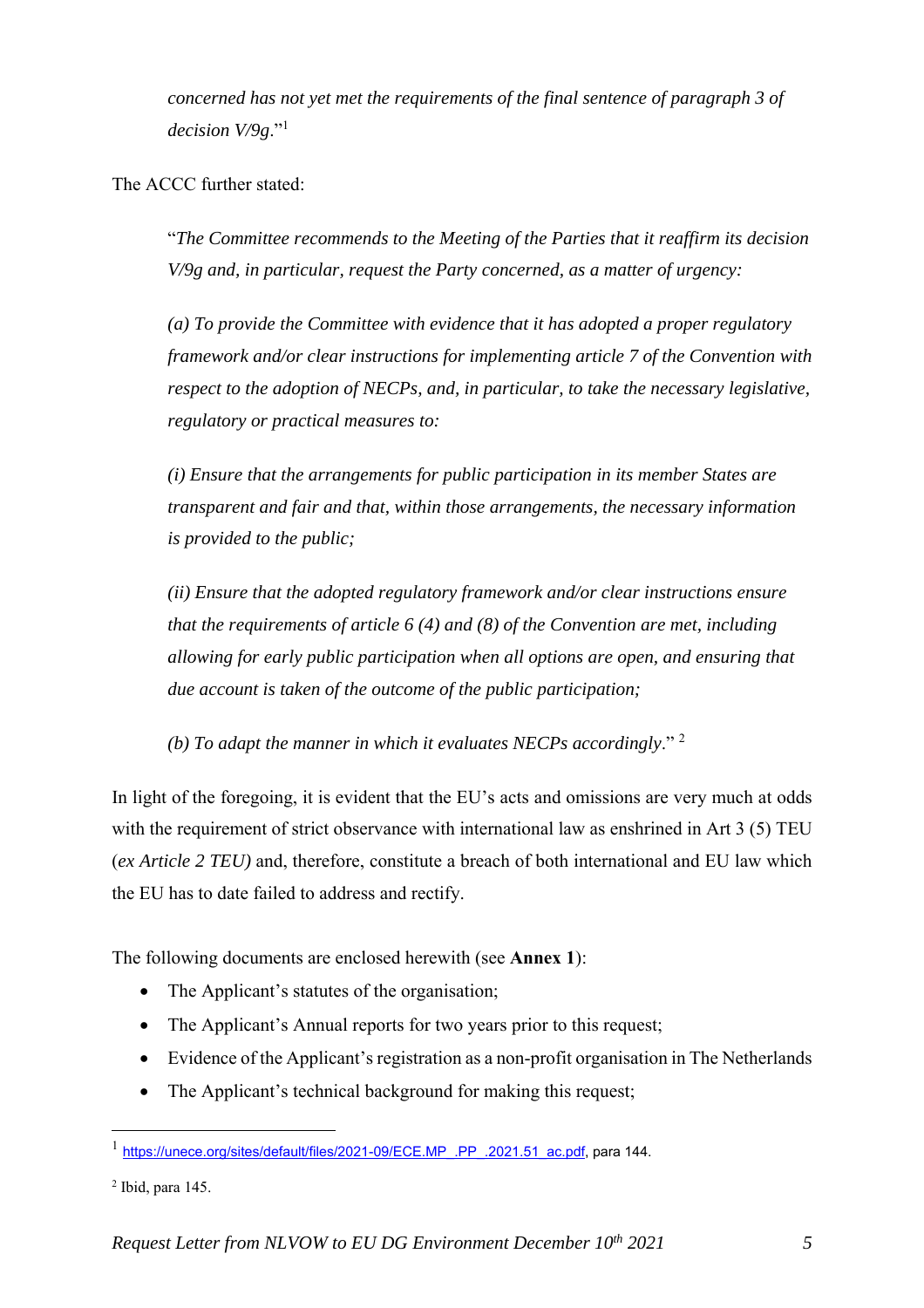*concerned has not yet met the requirements of the final sentence of paragraph 3 of decision V/9g*."<sup>1</sup>

The ACCC further stated:

"*The Committee recommends to the Meeting of the Parties that it reaffirm its decision V/9g and, in particular, request the Party concerned, as a matter of urgency:* 

*(a) To provide the Committee with evidence that it has adopted a proper regulatory framework and/or clear instructions for implementing article 7 of the Convention with respect to the adoption of NECPs, and, in particular, to take the necessary legislative, regulatory or practical measures to:* 

*(i) Ensure that the arrangements for public participation in its member States are transparent and fair and that, within those arrangements, the necessary information is provided to the public;* 

*(ii) Ensure that the adopted regulatory framework and/or clear instructions ensure that the requirements of article 6 (4) and (8) of the Convention are met, including allowing for early public participation when all options are open, and ensuring that due account is taken of the outcome of the public participation;* 

*(b) To adapt the manner in which it evaluates NECPs accordingly*." 2

In light of the foregoing, it is evident that the EU's acts and omissions are very much at odds with the requirement of strict observance with international law as enshrined in Art 3 (5) TEU (*ex Article 2 TEU)* and, therefore, constitute a breach of both international and EU law which the EU has to date failed to address and rectify.

The following documents are enclosed herewith (see **Annex 1**):

- The Applicant's statutes of the organisation;
- The Applicant's Annual reports for two years prior to this request;
- Evidence of the Applicant's registration as a non-profit organisation in The Netherlands
- The Applicant's technical background for making this request;

2 Ibid, para 145.

 $\overline{a}$ 

<sup>1</sup> https://unece.org/sites/default/files/2021-09/ECE.MP\_.PP\_.2021.51\_ac.pdf, para 144.